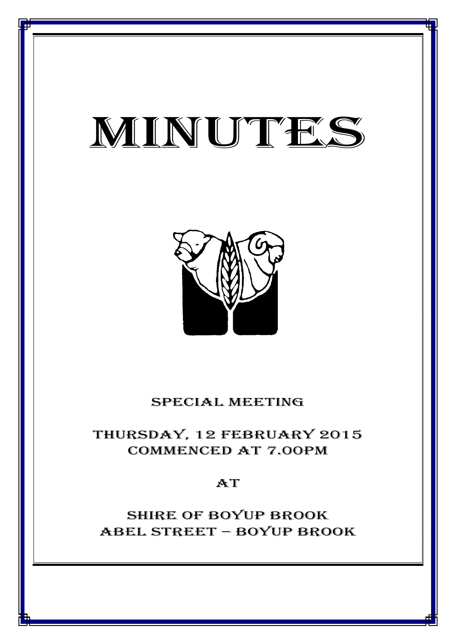# minutes

*MINUTES OF THE SPECIAL MEETING OF COUNCIL HELD ON 12 FEBRUARY 2015*



### special meeting

## thursday, 12 FEBRUARY 2015 Commenced at 7.00PM

## **AT**

# Shire of boyup brook ABEL STREET – BOYUP BROOK

1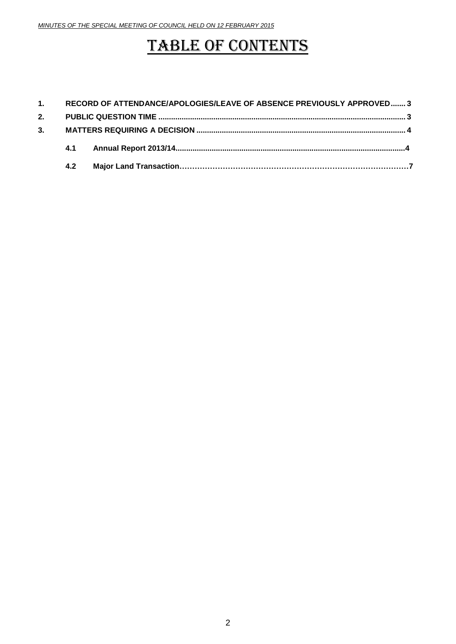## TABLE OF CONTENTS

|    |     | 1. RECORD OF ATTENDANCE/APOLOGIES/LEAVE OF ABSENCE PREVIOUSLY APPROVED 3 |  |  |
|----|-----|--------------------------------------------------------------------------|--|--|
| 2. |     |                                                                          |  |  |
| 3. |     |                                                                          |  |  |
|    | 4.1 |                                                                          |  |  |
|    | 4.2 |                                                                          |  |  |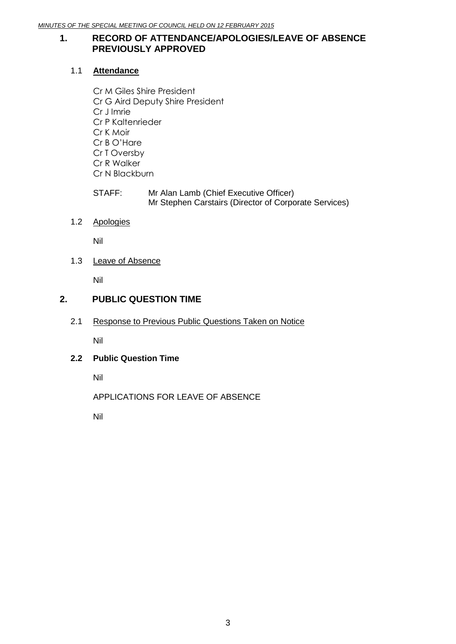#### <span id="page-2-0"></span>**1. RECORD OF ATTENDANCE/APOLOGIES/LEAVE OF ABSENCE PREVIOUSLY APPROVED**

#### 1.1 **Attendance**

- Cr M Giles Shire President Cr G Aird Deputy Shire President Cr J Imrie Cr P Kaltenrieder Cr K Moir Cr B O'Hare Cr T Oversby Cr R Walker Cr N Blackburn
- STAFF: Mr Alan Lamb (Chief Executive Officer) Mr Stephen Carstairs (Director of Corporate Services)

#### 1.2 Apologies

Nil

1.3 Leave of Absence

Nil

#### <span id="page-2-1"></span>**2. PUBLIC QUESTION TIME**

2.1 Response to Previous Public Questions Taken on Notice

Nil

#### **2.2 Public Question Time**

Nil

APPLICATIONS FOR LEAVE OF ABSENCE

Nil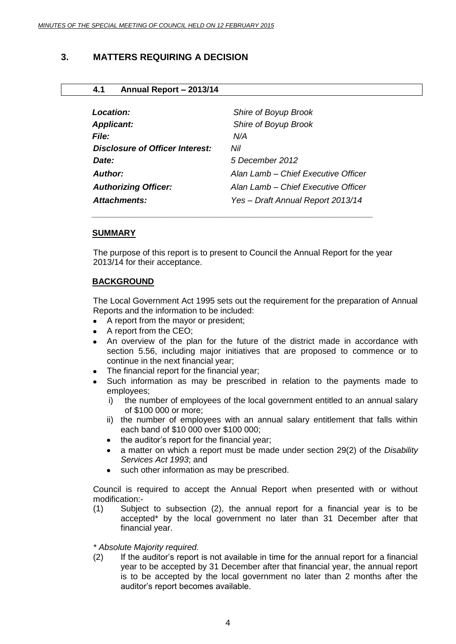#### <span id="page-3-0"></span>**3. MATTERS REQUIRING A DECISION**

#### **4.1 Annual Report – 2013/14**

| Location:                         | Shire of Boyup Brook                |
|-----------------------------------|-------------------------------------|
| <b>Applicant:</b><br><b>File:</b> | Shire of Boyup Brook<br>N/A         |
| Disclosure of Officer Interest:   | Nil                                 |
| Date:                             | 5 December 2012                     |
| Author:                           | Alan Lamb – Chief Executive Officer |
| <b>Authorizing Officer:</b>       | Alan Lamb – Chief Executive Officer |
| Attachments:                      | Yes - Draft Annual Report 2013/14   |
|                                   |                                     |

#### **SUMMARY**

The purpose of this report is to present to Council the Annual Report for the year 2013/14 for their acceptance.

#### **BACKGROUND**

The Local Government Act 1995 sets out the requirement for the preparation of Annual Reports and the information to be included:

- A report from the mayor or president;
- A report from the CEO;
- An overview of the plan for the future of the district made in accordance with section 5.56, including major initiatives that are proposed to commence or to continue in the next financial year;
- The financial report for the financial year;
- Such information as may be prescribed in relation to the payments made to employees;
	- i) the number of employees of the local government entitled to an annual salary of \$100 000 or more;
	- ii) the number of employees with an annual salary entitlement that falls within each band of \$10 000 over \$100 000;
	- the auditor's report for the financial year;  $\bullet$
	- a matter on which a report must be made under section 29(2) of the *Disability Services Act 1993*; and
	- such other information as may be prescribed.

Council is required to accept the Annual Report when presented with or without modification:-

(1) Subject to subsection (2), the annual report for a financial year is to be accepted\* by the local government no later than 31 December after that financial year.

#### *\* Absolute Majority required.*

(2) If the auditor's report is not available in time for the annual report for a financial year to be accepted by 31 December after that financial year, the annual report is to be accepted by the local government no later than 2 months after the auditor's report becomes available.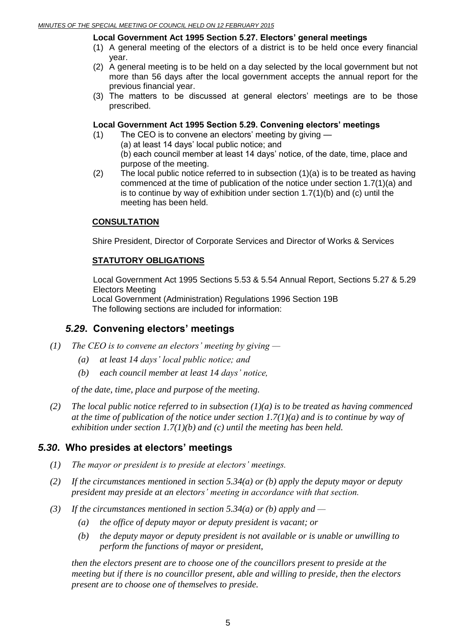#### **Local Government Act 1995 Section 5.27. Electors' general meetings**

- (1) A general meeting of the electors of a district is to be held once every financial year.
- (2) A general meeting is to be held on a day selected by the local government but not more than 56 days after the local government accepts the annual report for the previous financial year.
- (3) The matters to be discussed at general electors' meetings are to be those prescribed.

#### **Local Government Act 1995 Section 5.29. Convening electors' meetings**

- (1) The CEO is to convene an electors' meeting by giving
	- (a) at least 14 days' local public notice; and
	- (b) each council member at least 14 days' notice, of the date, time, place and purpose of the meeting.
- (2) The local public notice referred to in subsection (1)(a) is to be treated as having commenced at the time of publication of the notice under section 1.7(1)(a) and is to continue by way of exhibition under section 1.7(1)(b) and (c) until the meeting has been held.

#### **CONSULTATION**

Shire President, Director of Corporate Services and Director of Works & Services

#### **STATUTORY OBLIGATIONS**

Local Government Act 1995 Sections 5.53 & 5.54 Annual Report, Sections 5.27 & 5.29 Electors Meeting Local Government (Administration) Regulations 1996 Section 19B

The following sections are included for information:

#### *5.29***. Convening electors' meetings**

- *(1) The CEO is to convene an electors' meeting by giving —*
	- *(a) at least 14 days' local public notice; and*
	- *(b) each council member at least 14 days' notice,*

*of the date, time, place and purpose of the meeting.*

*(2) The local public notice referred to in subsection (1)(a) is to be treated as having commenced at the time of publication of the notice under section 1.7(1)(a) and is to continue by way of exhibition under section 1.7(1)(b) and (c) until the meeting has been held.*

#### *5.30***. Who presides at electors' meetings**

- *(1) The mayor or president is to preside at electors' meetings.*
- *(2) If the circumstances mentioned in section 5.34(a) or (b) apply the deputy mayor or deputy president may preside at an electors' meeting in accordance with that section.*
- *(3) If the circumstances mentioned in section 5.34(a) or (b) apply and —*
	- *(a) the office of deputy mayor or deputy president is vacant; or*
	- *(b) the deputy mayor or deputy president is not available or is unable or unwilling to perform the functions of mayor or president,*

*then the electors present are to choose one of the councillors present to preside at the meeting but if there is no councillor present, able and willing to preside, then the electors present are to choose one of themselves to preside.*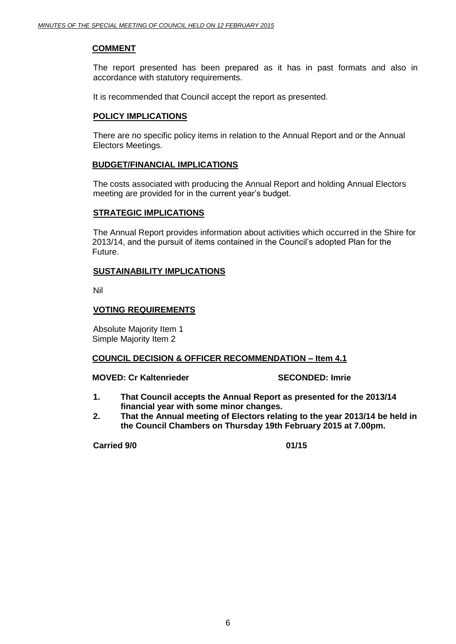#### **COMMENT**

The report presented has been prepared as it has in past formats and also in accordance with statutory requirements.

It is recommended that Council accept the report as presented.

#### **POLICY IMPLICATIONS**

There are no specific policy items in relation to the Annual Report and or the Annual Electors Meetings.

#### **BUDGET/FINANCIAL IMPLICATIONS**

The costs associated with producing the Annual Report and holding Annual Electors meeting are provided for in the current year's budget.

#### **STRATEGIC IMPLICATIONS**

The Annual Report provides information about activities which occurred in the Shire for 2013/14, and the pursuit of items contained in the Council's adopted Plan for the Future.

#### **SUSTAINABILITY IMPLICATIONS**

Nil

#### **VOTING REQUIREMENTS**

Absolute Majority Item 1 Simple Majority Item 2

#### **COUNCIL DECISION & OFFICER RECOMMENDATION – Item 4.1**

#### **MOVED: Cr Kaltenrieder SECONDED: Imrie**

- **1. That Council accepts the Annual Report as presented for the 2013/14 financial year with some minor changes.**
- **2. That the Annual meeting of Electors relating to the year 2013/14 be held in the Council Chambers on Thursday 19th February 2015 at 7.00pm.**

**Carried 9/0 01/15**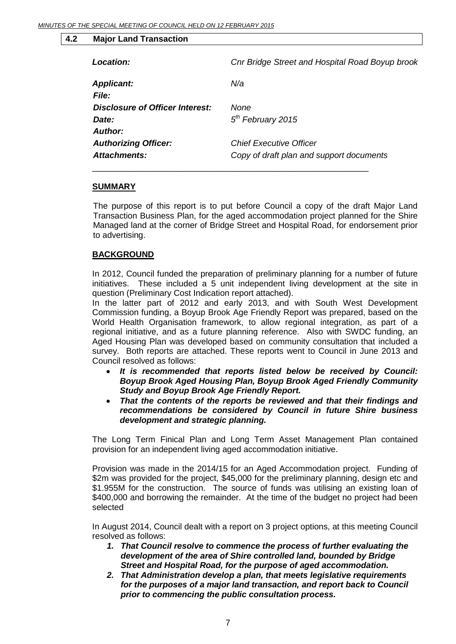#### **4.2 Major Land Transaction**

| <b>Location:</b>                                           | Cnr Bridge Street and Hospital Road Boyup brook                            |
|------------------------------------------------------------|----------------------------------------------------------------------------|
| <b>Applicant:</b><br>File:                                 | N/a                                                                        |
| <b>Disclosure of Officer Interest:</b><br>Date:<br>Author: | None<br>$5th$ February 2015                                                |
| <b>Authorizing Officer:</b><br><b>Attachments:</b>         | <b>Chief Executive Officer</b><br>Copy of draft plan and support documents |

#### **SUMMARY**

The purpose of this report is to put before Council a copy of the draft Major Land Transaction Business Plan, for the aged accommodation project planned for the Shire Managed land at the corner of Bridge Street and Hospital Road, for endorsement prior to advertising.

#### **BACKGROUND**

In 2012, Council funded the preparation of preliminary planning for a number of future initiatives. These included a 5 unit independent living development at the site in question (Preliminary Cost Indication report attached).

In the latter part of 2012 and early 2013, and with South West Development Commission funding, a Boyup Brook Age Friendly Report was prepared, based on the World Health Organisation framework, to allow regional integration, as part of a regional initiative, and as a future planning reference. Also with SWDC funding, an Aged Housing Plan was developed based on community consultation that included a survey. Both reports are attached. These reports went to Council in June 2013 and Council resolved as follows:

- *It is recommended that reports listed below be received by Council: Boyup Brook Aged Housing Plan, Boyup Brook Aged Friendly Community Study and Boyup Brook Age Friendly Report.*
- *That the contents of the reports be reviewed and that their findings and recommendations be considered by Council in future Shire business development and strategic planning.*

The Long Term Finical Plan and Long Term Asset Management Plan contained provision for an independent living aged accommodation initiative.

Provision was made in the 2014/15 for an Aged Accommodation project. Funding of \$2m was provided for the project, \$45,000 for the preliminary planning, design etc and \$1.955M for the construction. The source of funds was utilising an existing loan of \$400,000 and borrowing the remainder. At the time of the budget no project had been selected

In August 2014, Council dealt with a report on 3 project options, at this meeting Council resolved as follows:

- *1. That Council resolve to commence the process of further evaluating the development of the area of Shire controlled land, bounded by Bridge Street and Hospital Road, for the purpose of aged accommodation.*
- *2. That Administration develop a plan, that meets legislative requirements for the purposes of a major land transaction, and report back to Council prior to commencing the public consultation process.*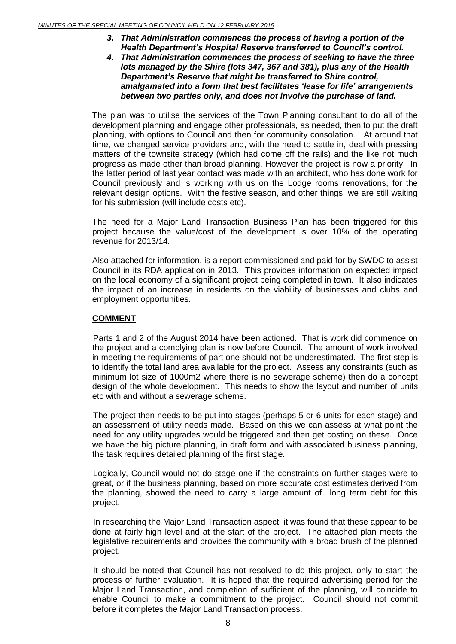- *3. That Administration commences the process of having a portion of the Health Department's Hospital Reserve transferred to Council's control.*
- *4. That Administration commences the process of seeking to have the three lots managed by the Shire (lots 347, 367 and 381), plus any of the Health Department's Reserve that might be transferred to Shire control, amalgamated into a form that best facilitates 'lease for life' arrangements between two parties only, and does not involve the purchase of land.*

The plan was to utilise the services of the Town Planning consultant to do all of the development planning and engage other professionals, as needed, then to put the draft planning, with options to Council and then for community consolation. At around that time, we changed service providers and, with the need to settle in, deal with pressing matters of the townsite strategy (which had come off the rails) and the like not much progress as made other than broad planning. However the project is now a priority. In the latter period of last year contact was made with an architect, who has done work for Council previously and is working with us on the Lodge rooms renovations, for the relevant design options. With the festive season, and other things, we are still waiting for his submission (will include costs etc).

The need for a Major Land Transaction Business Plan has been triggered for this project because the value/cost of the development is over 10% of the operating revenue for 2013/14.

Also attached for information, is a report commissioned and paid for by SWDC to assist Council in its RDA application in 2013. This provides information on expected impact on the local economy of a significant project being completed in town. It also indicates the impact of an increase in residents on the viability of businesses and clubs and employment opportunities.

#### **COMMENT**

Parts 1 and 2 of the August 2014 have been actioned. That is work did commence on the project and a complying plan is now before Council. The amount of work involved in meeting the requirements of part one should not be underestimated. The first step is to identify the total land area available for the project. Assess any constraints (such as minimum lot size of 1000m2 where there is no sewerage scheme) then do a concept design of the whole development. This needs to show the layout and number of units etc with and without a sewerage scheme.

The project then needs to be put into stages (perhaps 5 or 6 units for each stage) and an assessment of utility needs made. Based on this we can assess at what point the need for any utility upgrades would be triggered and then get costing on these. Once we have the big picture planning, in draft form and with associated business planning, the task requires detailed planning of the first stage.

Logically, Council would not do stage one if the constraints on further stages were to great, or if the business planning, based on more accurate cost estimates derived from the planning, showed the need to carry a large amount of long term debt for this project.

In researching the Major Land Transaction aspect, it was found that these appear to be done at fairly high level and at the start of the project. The attached plan meets the legislative requirements and provides the community with a broad brush of the planned project.

It should be noted that Council has not resolved to do this project, only to start the process of further evaluation. It is hoped that the required advertising period for the Major Land Transaction, and completion of sufficient of the planning, will coincide to enable Council to make a commitment to the project. Council should not commit before it completes the Major Land Transaction process.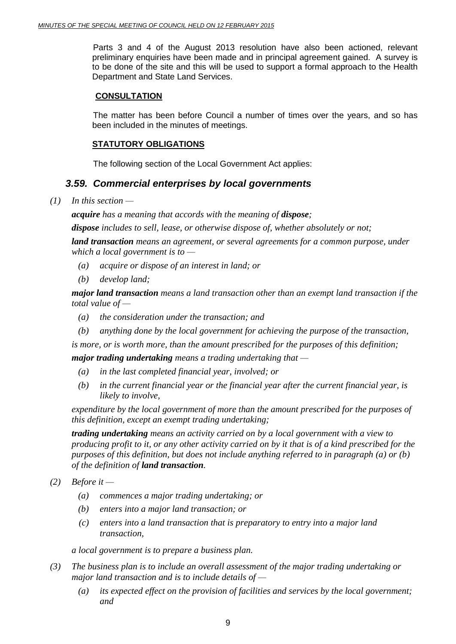Parts 3 and 4 of the August 2013 resolution have also been actioned, relevant preliminary enquiries have been made and in principal agreement gained. A survey is to be done of the site and this will be used to support a formal approach to the Health Department and State Land Services.

#### **CONSULTATION**

The matter has been before Council a number of times over the years, and so has been included in the minutes of meetings.

#### **STATUTORY OBLIGATIONS**

The following section of the Local Government Act applies:

#### *3.59. Commercial enterprises by local governments*

*(1) In this section —*

*acquire* has a meaning that accords with the meaning of *dispose*;

*dispose includes to sell, lease, or otherwise dispose of, whether absolutely or not;*

*land transaction means an agreement, or several agreements for a common purpose, under which a local government is to —*

- *(a) acquire or dispose of an interest in land; or*
- *(b) develop land;*

*major land transaction means a land transaction other than an exempt land transaction if the total value of —*

- *(a) the consideration under the transaction; and*
- *(b) anything done by the local government for achieving the purpose of the transaction,*

*is more, or is worth more, than the amount prescribed for the purposes of this definition;*

*major trading undertaking means a trading undertaking that —*

- *(a) in the last completed financial year, involved; or*
- *(b) in the current financial year or the financial year after the current financial year, is likely to involve,*

*expenditure by the local government of more than the amount prescribed for the purposes of this definition, except an exempt trading undertaking;*

*trading undertaking means an activity carried on by a local government with a view to producing profit to it, or any other activity carried on by it that is of a kind prescribed for the purposes of this definition, but does not include anything referred to in paragraph (a) or (b) of the definition of land transaction.*

- *(2) Before it —*
	- *(a) commences a major trading undertaking; or*
	- *(b) enters into a major land transaction; or*
	- *(c) enters into a land transaction that is preparatory to entry into a major land transaction,*

*a local government is to prepare a business plan.*

- *(3) The business plan is to include an overall assessment of the major trading undertaking or major land transaction and is to include details of —*
	- *(a) its expected effect on the provision of facilities and services by the local government; and*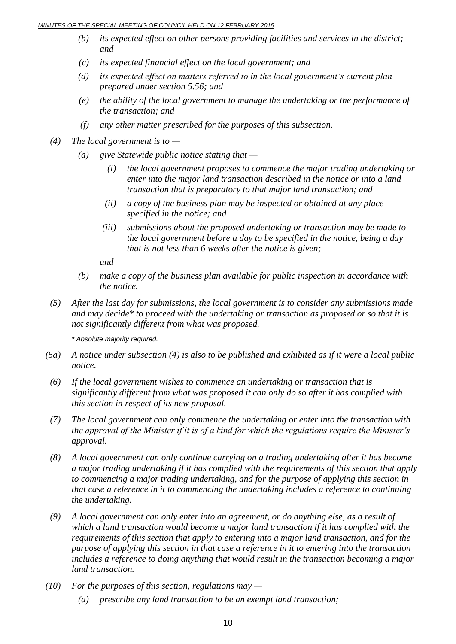#### *MINUTES OF THE SPECIAL MEETING OF COUNCIL HELD ON 12 FEBRUARY 2015*

- *(b) its expected effect on other persons providing facilities and services in the district; and*
- *(c) its expected financial effect on the local government; and*
- *(d) its expected effect on matters referred to in the local government's current plan prepared under section 5.56; and*
- *(e) the ability of the local government to manage the undertaking or the performance of the transaction; and*
- *(f) any other matter prescribed for the purposes of this subsection.*
- *(4) The local government is to —*
	- *(a) give Statewide public notice stating that —*
		- *(i) the local government proposes to commence the major trading undertaking or enter into the major land transaction described in the notice or into a land transaction that is preparatory to that major land transaction; and*
		- *(ii) a copy of the business plan may be inspected or obtained at any place specified in the notice; and*
		- *(iii) submissions about the proposed undertaking or transaction may be made to the local government before a day to be specified in the notice, being a day that is not less than 6 weeks after the notice is given;*

*and*

- *(b) make a copy of the business plan available for public inspection in accordance with the notice.*
- *(5) After the last day for submissions, the local government is to consider any submissions made and may decide\* to proceed with the undertaking or transaction as proposed or so that it is not significantly different from what was proposed.*

*\* Absolute majority required.*

- *(5a) A notice under subsection (4) is also to be published and exhibited as if it were a local public notice.*
- *(6) If the local government wishes to commence an undertaking or transaction that is significantly different from what was proposed it can only do so after it has complied with this section in respect of its new proposal.*
- *(7) The local government can only commence the undertaking or enter into the transaction with the approval of the Minister if it is of a kind for which the regulations require the Minister's approval.*
- *(8) A local government can only continue carrying on a trading undertaking after it has become a major trading undertaking if it has complied with the requirements of this section that apply to commencing a major trading undertaking, and for the purpose of applying this section in that case a reference in it to commencing the undertaking includes a reference to continuing the undertaking.*
- *(9) A local government can only enter into an agreement, or do anything else, as a result of which a land transaction would become a major land transaction if it has complied with the requirements of this section that apply to entering into a major land transaction, and for the purpose of applying this section in that case a reference in it to entering into the transaction includes a reference to doing anything that would result in the transaction becoming a major land transaction.*
- *(10) For the purposes of this section, regulations may —*
	- *(a) prescribe any land transaction to be an exempt land transaction;*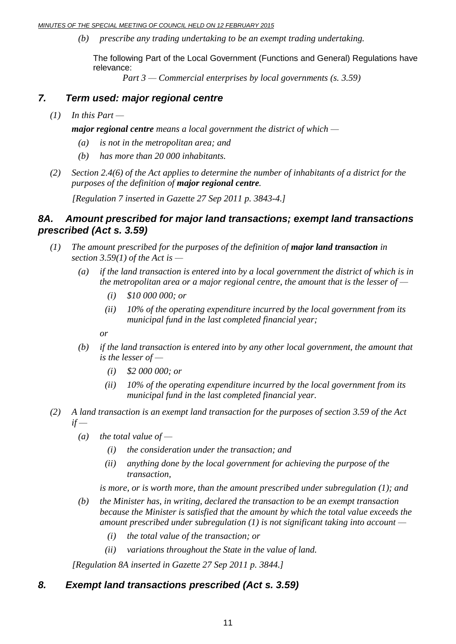*MINUTES OF THE SPECIAL MEETING OF COUNCIL HELD ON 12 FEBRUARY 2015*

*(b) prescribe any trading undertaking to be an exempt trading undertaking.*

The following Part of the Local Government (Functions and General) Regulations have relevance:

*Part 3 — Commercial enterprises by local governments (s. 3.59)*

#### *7. Term used: major regional centre*

 $(1)$  *In this Part* —

*major regional centre means a local government the district of which —*

- *(a) is not in the metropolitan area; and*
- *(b) has more than 20 000 inhabitants.*
- *(2) Section 2.4(6) of the Act applies to determine the number of inhabitants of a district for the purposes of the definition of major regional centre.*

*[Regulation 7 inserted in Gazette 27 Sep 2011 p. 3843-4.]*

#### *8A. Amount prescribed for major land transactions; exempt land transactions prescribed (Act s. 3.59)*

- *(1) The amount prescribed for the purposes of the definition of major land transaction in section 3.59(1) of the Act is —*
	- *(a) if the land transaction is entered into by a local government the district of which is in the metropolitan area or a major regional centre, the amount that is the lesser of —*
		- *(i) \$10 000 000; or*
		- *(ii) 10% of the operating expenditure incurred by the local government from its municipal fund in the last completed financial year;*

*or*

- *(b) if the land transaction is entered into by any other local government, the amount that is the lesser of —*
	- *(i) \$2 000 000; or*
	- *(ii) 10% of the operating expenditure incurred by the local government from its municipal fund in the last completed financial year.*
- *(2) A land transaction is an exempt land transaction for the purposes of section 3.59 of the Act if —*
	- *(a) the total value of —*
		- *(i) the consideration under the transaction; and*
		- *(ii) anything done by the local government for achieving the purpose of the transaction,*

*is more, or is worth more, than the amount prescribed under subregulation (1); and*

- *(b) the Minister has, in writing, declared the transaction to be an exempt transaction because the Minister is satisfied that the amount by which the total value exceeds the amount prescribed under subregulation (1) is not significant taking into account —*
	- *(i) the total value of the transaction; or*
	- *(ii) variations throughout the State in the value of land.*

*[Regulation 8A inserted in Gazette 27 Sep 2011 p. 3844.]*

#### *8. Exempt land transactions prescribed (Act s. 3.59)*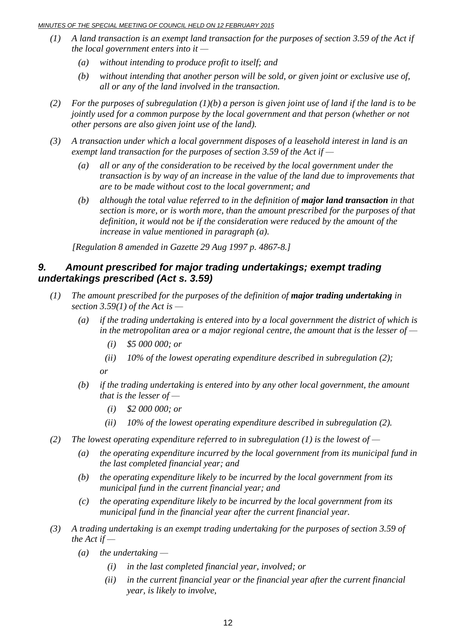#### *MINUTES OF THE SPECIAL MEETING OF COUNCIL HELD ON 12 FEBRUARY 2015*

- *(1) A land transaction is an exempt land transaction for the purposes of section 3.59 of the Act if the local government enters into it —*
	- *(a) without intending to produce profit to itself; and*
	- *(b) without intending that another person will be sold, or given joint or exclusive use of, all or any of the land involved in the transaction.*
- *(2) For the purposes of subregulation (1)(b) a person is given joint use of land if the land is to be jointly used for a common purpose by the local government and that person (whether or not other persons are also given joint use of the land).*
- *(3) A transaction under which a local government disposes of a leasehold interest in land is an exempt land transaction for the purposes of section 3.59 of the Act if —*
	- *(a) all or any of the consideration to be received by the local government under the transaction is by way of an increase in the value of the land due to improvements that are to be made without cost to the local government; and*
	- *(b) although the total value referred to in the definition of major land transaction in that section is more, or is worth more, than the amount prescribed for the purposes of that definition, it would not be if the consideration were reduced by the amount of the increase in value mentioned in paragraph (a).*

*[Regulation 8 amended in Gazette 29 Aug 1997 p. 4867-8.]*

#### *9. Amount prescribed for major trading undertakings; exempt trading undertakings prescribed (Act s. 3.59)*

- *(1) The amount prescribed for the purposes of the definition of major trading undertaking in section 3.59(1) of the Act is —*
	- *(a) if the trading undertaking is entered into by a local government the district of which is in the metropolitan area or a major regional centre, the amount that is the lesser of —*
		- *(i) \$5 000 000; or*
		- *(ii) 10% of the lowest operating expenditure described in subregulation (2);*

*or*

- *(b) if the trading undertaking is entered into by any other local government, the amount that is the lesser of —*
	- *(i) \$2 000 000; or*
	- *(ii) 10% of the lowest operating expenditure described in subregulation (2).*
- *(2) The lowest operating expenditure referred to in subregulation (1) is the lowest of —*
	- *(a) the operating expenditure incurred by the local government from its municipal fund in the last completed financial year; and*
	- *(b) the operating expenditure likely to be incurred by the local government from its municipal fund in the current financial year; and*
	- *(c) the operating expenditure likely to be incurred by the local government from its municipal fund in the financial year after the current financial year.*
- *(3) A trading undertaking is an exempt trading undertaking for the purposes of section 3.59 of the Act if —*
	- *(a) the undertaking —*
		- *(i) in the last completed financial year, involved; or*
		- *(ii) in the current financial year or the financial year after the current financial year, is likely to involve,*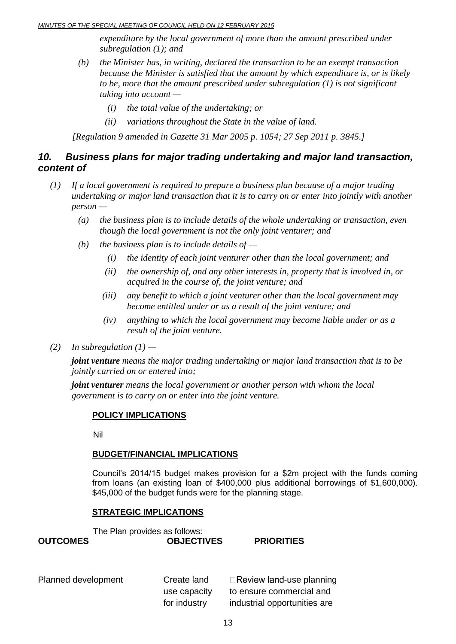*expenditure by the local government of more than the amount prescribed under subregulation (1); and*

- *(b) the Minister has, in writing, declared the transaction to be an exempt transaction because the Minister is satisfied that the amount by which expenditure is, or is likely to be, more that the amount prescribed under subregulation (1) is not significant taking into account —*
	- *(i) the total value of the undertaking; or*
	- *(ii) variations throughout the State in the value of land.*

*[Regulation 9 amended in Gazette 31 Mar 2005 p. 1054; 27 Sep 2011 p. 3845.]*

#### *10. Business plans for major trading undertaking and major land transaction, content of*

- *(1) If a local government is required to prepare a business plan because of a major trading undertaking or major land transaction that it is to carry on or enter into jointly with another person —*
	- *(a) the business plan is to include details of the whole undertaking or transaction, even though the local government is not the only joint venturer; and*
	- *(b) the business plan is to include details of —*
		- *(i) the identity of each joint venturer other than the local government; and*
		- *(ii) the ownership of, and any other interests in, property that is involved in, or acquired in the course of, the joint venture; and*
		- *(iii) any benefit to which a joint venturer other than the local government may become entitled under or as a result of the joint venture; and*
		- *(iv) anything to which the local government may become liable under or as a result of the joint venture.*

#### *(2) In subregulation*  $(1)$  —

*joint venture means the major trading undertaking or major land transaction that is to be jointly carried on or entered into;*

*joint venturer means the local government or another person with whom the local government is to carry on or enter into the joint venture.*

#### **POLICY IMPLICATIONS**

Nil

#### **BUDGET/FINANCIAL IMPLICATIONS**

Council's 2014/15 budget makes provision for a \$2m project with the funds coming from loans (an existing loan of \$400,000 plus additional borrowings of \$1,600,000). \$45,000 of the budget funds were for the planning stage.

#### **STRATEGIC IMPLICATIONS**

The Plan provides as follows: **OUTCOMES OBJECTIVES PRIORITIES** 

Planned development Create land

use capacity for industry

 $\Box$ Review land-use planning to ensure commercial and industrial opportunities are